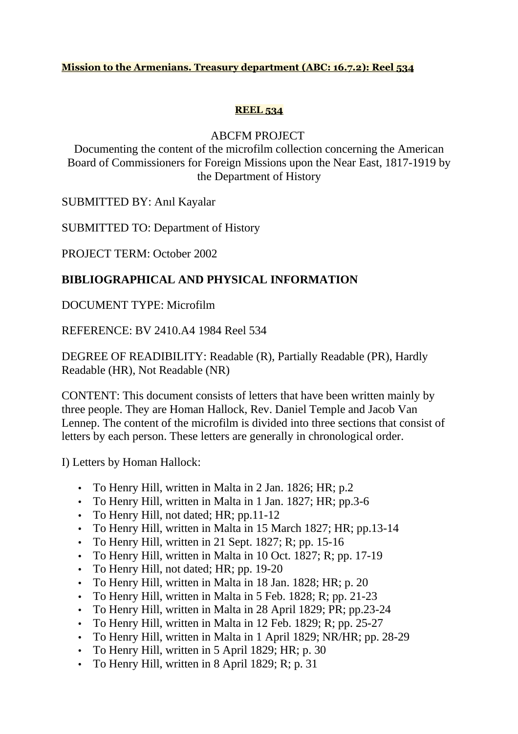### **Mission to the Armenians. Treasury department (ABC: 16.7.2): Reel 534**

### **REEL 534**

## ABCFM PROJECT

Documenting the content of the microfilm collection concerning the American Board of Commissioners for Foreign Missions upon the Near East, 1817-1919 by the Department of History

SUBMITTED BY: Anıl Kayalar

SUBMITTED TO: Department of History

PROJECT TERM: October 2002

# **BIBLIOGRAPHICAL AND PHYSICAL INFORMATION**

# DOCUMENT TYPE: Microfilm

REFERENCE: BV 2410.A4 1984 Reel 534

DEGREE OF READIBILITY: Readable (R), Partially Readable (PR), Hardly Readable (HR), Not Readable (NR)

CONTENT: This document consists of letters that have been written mainly by three people. They are Homan Hallock, Rev. Daniel Temple and Jacob Van Lennep. The content of the microfilm is divided into three sections that consist of letters by each person. These letters are generally in chronological order.

I) Letters by Homan Hallock:

- To Henry Hill, written in Malta in 2 Jan. 1826; HR; p.2
- To Henry Hill, written in Malta in 1 Jan. 1827; HR; pp.3-6
- To Henry Hill, not dated; HR; pp.11-12
- To Henry Hill, written in Malta in 15 March 1827; HR; pp.13-14
- To Henry Hill, written in 21 Sept.  $1827$ ; R; pp. 15-16
- To Henry Hill, written in Malta in 10 Oct. 1827; R; pp. 17-19
- To Henry Hill, not dated; HR; pp. 19-20
- To Henry Hill, written in Malta in 18 Jan. 1828; HR; p. 20
- To Henry Hill, written in Malta in 5 Feb. 1828; R; pp. 21-23
- To Henry Hill, written in Malta in 28 April 1829; PR; pp.23-24
- To Henry Hill, written in Malta in 12 Feb. 1829; R; pp. 25-27
- To Henry Hill, written in Malta in 1 April 1829; NR/HR; pp. 28-29
- To Henry Hill, written in 5 April 1829; HR; p. 30
- To Henry Hill, written in 8 April 1829; R; p. 31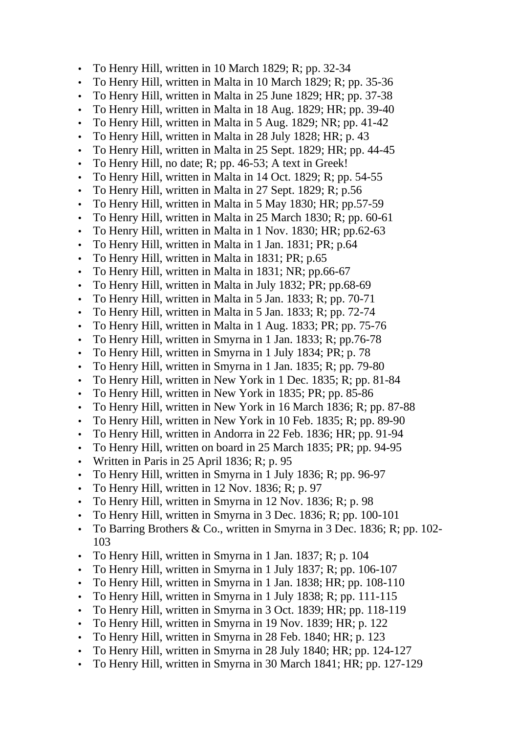- To Henry Hill, written in 10 March 1829; R; pp. 32-34
- To Henry Hill, written in Malta in 10 March 1829; R; pp. 35-36
- To Henry Hill, written in Malta in 25 June 1829; HR; pp. 37-38
- To Henry Hill, written in Malta in 18 Aug. 1829; HR; pp. 39-40
- To Henry Hill, written in Malta in 5 Aug. 1829; NR; pp. 41-42
- To Henry Hill, written in Malta in 28 July 1828; HR; p. 43
- To Henry Hill, written in Malta in 25 Sept. 1829; HR; pp. 44-45
- To Henry Hill, no date; R; pp. 46-53; A text in Greek!
- To Henry Hill, written in Malta in 14 Oct. 1829; R; pp. 54-55
- To Henry Hill, written in Malta in 27 Sept. 1829; R; p.56
- To Henry Hill, written in Malta in 5 May 1830; HR; pp.57-59
- To Henry Hill, written in Malta in 25 March 1830; R; pp. 60-61
- To Henry Hill, written in Malta in 1 Nov. 1830; HR; pp.62-63
- To Henry Hill, written in Malta in 1 Jan. 1831; PR; p.64
- To Henry Hill, written in Malta in 1831; PR; p.65
- To Henry Hill, written in Malta in 1831; NR; pp.66-67
- To Henry Hill, written in Malta in July 1832; PR; pp.68-69
- To Henry Hill, written in Malta in 5 Jan. 1833; R; pp. 70-71
- To Henry Hill, written in Malta in 5 Jan. 1833; R; pp. 72-74
- To Henry Hill, written in Malta in 1 Aug. 1833; PR; pp. 75-76
- To Henry Hill, written in Smyrna in 1 Jan. 1833; R; pp.76-78
- To Henry Hill, written in Smyrna in 1 July 1834; PR; p. 78
- To Henry Hill, written in Smyrna in 1 Jan. 1835; R; pp. 79-80
- To Henry Hill, written in New York in 1 Dec. 1835; R; pp. 81-84
- To Henry Hill, written in New York in 1835; PR; pp. 85-86
- To Henry Hill, written in New York in 16 March 1836; R; pp. 87-88
- To Henry Hill, written in New York in 10 Feb. 1835; R; pp. 89-90
- To Henry Hill, written in Andorra in 22 Feb. 1836; HR; pp. 91-94
- To Henry Hill, written on board in 25 March 1835; PR; pp. 94-95
- Written in Paris in 25 April 1836; R; p. 95
- To Henry Hill, written in Smyrna in 1 July 1836; R; pp. 96-97
- To Henry Hill, written in 12 Nov. 1836; R; p. 97
- To Henry Hill, written in Smyrna in 12 Nov. 1836; R; p. 98
- To Henry Hill, written in Smyrna in 3 Dec. 1836; R; pp. 100-101
- To Barring Brothers & Co., written in Smyrna in 3 Dec. 1836; R; pp. 102-103
- To Henry Hill, written in Smyrna in 1 Jan. 1837; R; p. 104
- To Henry Hill, written in Smyrna in 1 July 1837; R; pp. 106-107
- To Henry Hill, written in Smyrna in 1 Jan. 1838; HR; pp. 108-110
- To Henry Hill, written in Smyrna in 1 July 1838; R; pp. 111-115
- To Henry Hill, written in Smyrna in 3 Oct. 1839; HR; pp. 118-119
- To Henry Hill, written in Smyrna in 19 Nov. 1839; HR; p. 122
- To Henry Hill, written in Smyrna in 28 Feb. 1840; HR; p. 123
- To Henry Hill, written in Smyrna in 28 July 1840; HR; pp. 124-127
- To Henry Hill, written in Smyrna in 30 March 1841; HR; pp. 127-129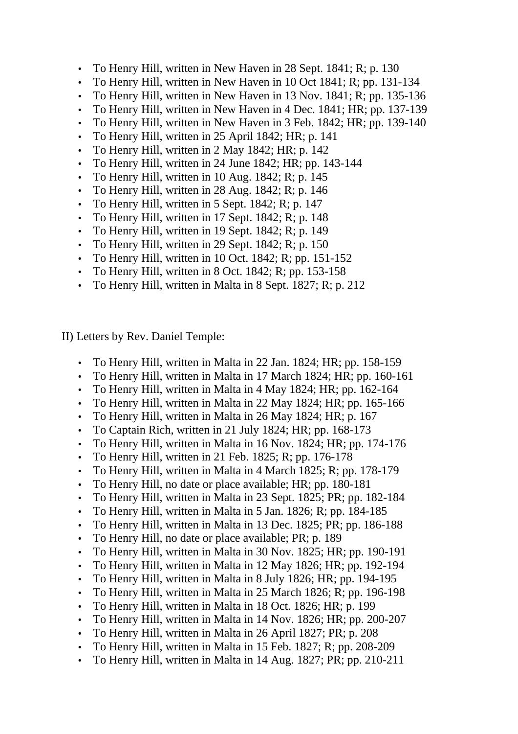- To Henry Hill, written in New Haven in 28 Sept. 1841; R; p. 130
- To Henry Hill, written in New Haven in 10 Oct 1841; R; pp. 131-134
- To Henry Hill, written in New Haven in 13 Nov. 1841; R; pp. 135-136
- To Henry Hill, written in New Haven in 4 Dec. 1841; HR; pp. 137-139
- To Henry Hill, written in New Haven in 3 Feb. 1842; HR; pp. 139-140
- To Henry Hill, written in 25 April 1842; HR; p. 141
- To Henry Hill, written in 2 May 1842; HR; p. 142
- To Henry Hill, written in 24 June 1842; HR; pp. 143-144
- To Henry Hill, written in 10 Aug.  $1842$ ; R; p.  $145$
- To Henry Hill, written in 28 Aug.  $1842$ ; R; p.  $146$
- To Henry Hill, written in 5 Sept.  $1842$ ; R; p.  $147$
- To Henry Hill, written in 17 Sept.  $1842$ ; R; p. 148
- To Henry Hill, written in 19 Sept. 1842; R; p. 149
- To Henry Hill, written in 29 Sept. 1842; R; p. 150
- To Henry Hill, written in 10 Oct.  $1842$ ; R; pp.  $151-152$
- To Henry Hill, written in 8 Oct.  $1842$ ; R; pp.  $153-158$
- To Henry Hill, written in Malta in 8 Sept. 1827; R; p. 212

II) Letters by Rev. Daniel Temple:

- To Henry Hill, written in Malta in 22 Jan. 1824; HR; pp. 158-159
- To Henry Hill, written in Malta in 17 March 1824; HR; pp. 160-161
- To Henry Hill, written in Malta in 4 May 1824; HR; pp. 162-164
- To Henry Hill, written in Malta in 22 May 1824; HR; pp. 165-166
- To Henry Hill, written in Malta in 26 May 1824; HR; p. 167
- To Captain Rich, written in 21 July 1824; HR; pp. 168-173
- To Henry Hill, written in Malta in 16 Nov. 1824; HR; pp. 174-176
- To Henry Hill, written in 21 Feb. 1825; R; pp. 176-178
- To Henry Hill, written in Malta in 4 March 1825; R; pp. 178-179
- To Henry Hill, no date or place available; HR; pp. 180-181
- To Henry Hill, written in Malta in 23 Sept. 1825; PR; pp. 182-184
- To Henry Hill, written in Malta in 5 Jan. 1826; R; pp. 184-185
- To Henry Hill, written in Malta in 13 Dec. 1825; PR; pp. 186-188
- To Henry Hill, no date or place available; PR; p. 189
- To Henry Hill, written in Malta in 30 Nov. 1825; HR; pp. 190-191
- To Henry Hill, written in Malta in 12 May 1826; HR; pp. 192-194
- To Henry Hill, written in Malta in 8 July 1826; HR; pp. 194-195
- To Henry Hill, written in Malta in 25 March 1826; R; pp. 196-198
- To Henry Hill, written in Malta in 18 Oct. 1826; HR; p. 199
- To Henry Hill, written in Malta in 14 Nov. 1826; HR; pp. 200-207
- To Henry Hill, written in Malta in 26 April 1827; PR; p. 208
- To Henry Hill, written in Malta in 15 Feb. 1827; R; pp. 208-209
- To Henry Hill, written in Malta in 14 Aug. 1827; PR; pp. 210-211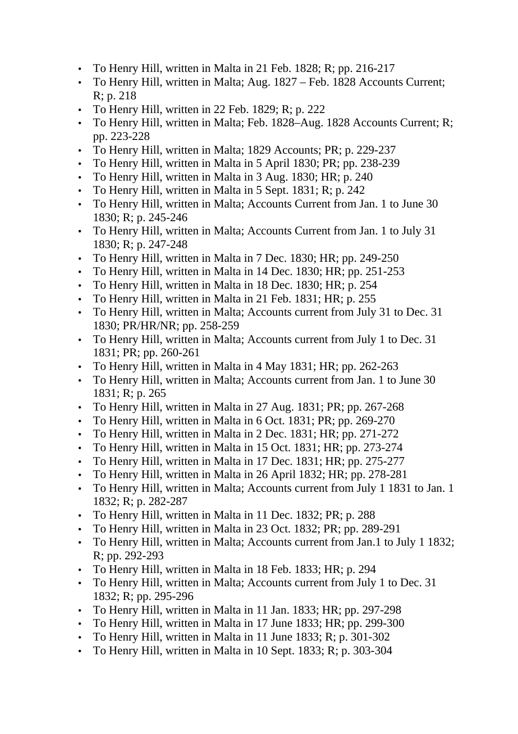- To Henry Hill, written in Malta in 21 Feb. 1828; R; pp. 216-217
- To Henry Hill, written in Malta; Aug. 1827 Feb. 1828 Accounts Current; R; p. 218
- To Henry Hill, written in 22 Feb. 1829; R; p. 222
- To Henry Hill, written in Malta; Feb. 1828–Aug. 1828 Accounts Current; R; pp. 223-228
- To Henry Hill, written in Malta; 1829 Accounts; PR; p. 229-237
- To Henry Hill, written in Malta in 5 April 1830; PR; pp. 238-239
- To Henry Hill, written in Malta in 3 Aug. 1830; HR; p. 240
- To Henry Hill, written in Malta in 5 Sept. 1831; R; p. 242
- To Henry Hill, written in Malta; Accounts Current from Jan. 1 to June 30 1830; R; p. 245-246
- To Henry Hill, written in Malta; Accounts Current from Jan. 1 to July 31 1830; R; p. 247-248
- To Henry Hill, written in Malta in 7 Dec. 1830; HR; pp. 249-250
- To Henry Hill, written in Malta in 14 Dec. 1830; HR; pp. 251-253
- To Henry Hill, written in Malta in 18 Dec. 1830; HR; p. 254
- To Henry Hill, written in Malta in 21 Feb. 1831; HR; p. 255
- To Henry Hill, written in Malta; Accounts current from July 31 to Dec. 31 1830; PR/HR/NR; pp. 258-259
- To Henry Hill, written in Malta; Accounts current from July 1 to Dec. 31 1831; PR; pp. 260-261
- To Henry Hill, written in Malta in 4 May 1831; HR; pp. 262-263
- To Henry Hill, written in Malta; Accounts current from Jan. 1 to June 30 1831; R; p. 265
- To Henry Hill, written in Malta in 27 Aug. 1831; PR; pp. 267-268
- To Henry Hill, written in Malta in 6 Oct. 1831; PR; pp. 269-270
- To Henry Hill, written in Malta in 2 Dec. 1831; HR; pp. 271-272
- To Henry Hill, written in Malta in 15 Oct. 1831; HR; pp. 273-274
- To Henry Hill, written in Malta in 17 Dec. 1831; HR; pp. 275-277
- To Henry Hill, written in Malta in 26 April 1832; HR; pp. 278-281
- To Henry Hill, written in Malta; Accounts current from July 1 1831 to Jan. 1 1832; R; p. 282-287
- To Henry Hill, written in Malta in 11 Dec. 1832; PR; p. 288
- To Henry Hill, written in Malta in 23 Oct. 1832; PR; pp. 289-291
- To Henry Hill, written in Malta; Accounts current from Jan.1 to July 1 1832; R; pp. 292-293
- To Henry Hill, written in Malta in 18 Feb. 1833; HR; p. 294
- To Henry Hill, written in Malta; Accounts current from July 1 to Dec. 31 1832; R; pp. 295-296
- To Henry Hill, written in Malta in 11 Jan. 1833; HR; pp. 297-298
- To Henry Hill, written in Malta in 17 June 1833; HR; pp. 299-300
- To Henry Hill, written in Malta in 11 June 1833; R; p. 301-302
- To Henry Hill, written in Malta in 10 Sept. 1833; R; p. 303-304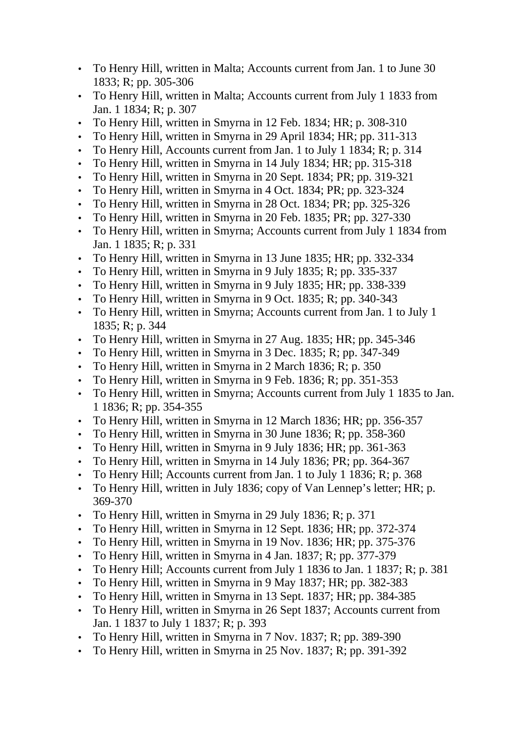- To Henry Hill, written in Malta; Accounts current from Jan. 1 to June 30 1833; R; pp. 305-306
- To Henry Hill, written in Malta; Accounts current from July 1 1833 from Jan. 1 1834; R; p. 307
- To Henry Hill, written in Smyrna in 12 Feb. 1834; HR; p. 308-310
- To Henry Hill, written in Smyrna in 29 April 1834; HR; pp. 311-313
- To Henry Hill, Accounts current from Jan. 1 to July 1 1834; R; p. 314
- To Henry Hill, written in Smyrna in 14 July 1834; HR; pp. 315-318
- To Henry Hill, written in Smyrna in 20 Sept. 1834; PR; pp. 319-321
- To Henry Hill, written in Smyrna in 4 Oct. 1834; PR; pp. 323-324
- To Henry Hill, written in Smyrna in 28 Oct. 1834; PR; pp. 325-326
- To Henry Hill, written in Smyrna in 20 Feb. 1835; PR; pp. 327-330
- To Henry Hill, written in Smyrna; Accounts current from July 1 1834 from Jan. 1 1835; R; p. 331
- To Henry Hill, written in Smyrna in 13 June 1835; HR; pp. 332-334
- To Henry Hill, written in Smyrna in 9 July 1835; R; pp. 335-337
- To Henry Hill, written in Smyrna in 9 July 1835; HR; pp. 338-339
- To Henry Hill, written in Smyrna in 9 Oct. 1835; R; pp. 340-343
- To Henry Hill, written in Smyrna; Accounts current from Jan. 1 to July 1 1835; R; p. 344
- To Henry Hill, written in Smyrna in 27 Aug. 1835; HR; pp. 345-346
- To Henry Hill, written in Smyrna in 3 Dec. 1835; R; pp. 347-349
- To Henry Hill, written in Smyrna in 2 March 1836; R; p. 350
- To Henry Hill, written in Smyrna in 9 Feb. 1836; R; pp. 351-353
- To Henry Hill, written in Smyrna; Accounts current from July 1 1835 to Jan. 1 1836; R; pp. 354-355
- To Henry Hill, written in Smyrna in 12 March 1836; HR; pp. 356-357
- To Henry Hill, written in Smyrna in 30 June 1836; R; pp. 358-360
- To Henry Hill, written in Smyrna in 9 July 1836; HR; pp. 361-363
- To Henry Hill, written in Smyrna in 14 July 1836; PR; pp. 364-367
- To Henry Hill; Accounts current from Jan. 1 to July 1 1836; R; p. 368
- To Henry Hill, written in July 1836; copy of Van Lennep's letter; HR; p. 369-370
- To Henry Hill, written in Smyrna in 29 July 1836; R; p. 371
- To Henry Hill, written in Smyrna in 12 Sept. 1836; HR; pp. 372-374
- To Henry Hill, written in Smyrna in 19 Nov. 1836; HR; pp. 375-376
- To Henry Hill, written in Smyrna in 4 Jan. 1837; R; pp. 377-379
- To Henry Hill; Accounts current from July 1 1836 to Jan. 1 1837; R; p. 381
- To Henry Hill, written in Smyrna in 9 May 1837; HR; pp. 382-383
- To Henry Hill, written in Smyrna in 13 Sept. 1837; HR; pp. 384-385
- To Henry Hill, written in Smyrna in 26 Sept 1837; Accounts current from Jan. 1 1837 to July 1 1837; R; p. 393
- To Henry Hill, written in Smyrna in 7 Nov. 1837; R; pp. 389-390
- To Henry Hill, written in Smyrna in 25 Nov. 1837; R; pp. 391-392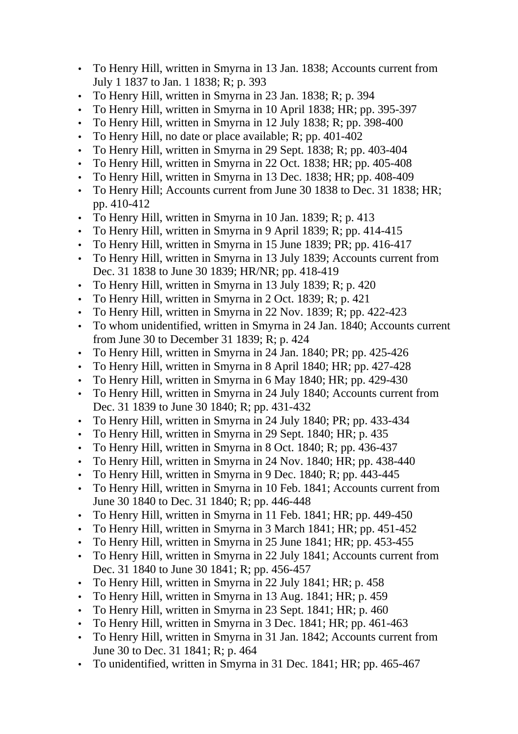- To Henry Hill, written in Smyrna in 13 Jan. 1838; Accounts current from July 1 1837 to Jan. 1 1838; R; p. 393
- To Henry Hill, written in Smyrna in 23 Jan. 1838; R; p. 394
- To Henry Hill, written in Smyrna in 10 April 1838; HR; pp. 395-397
- To Henry Hill, written in Smyrna in 12 July 1838; R; pp. 398-400
- To Henry Hill, no date or place available; R; pp. 401-402
- To Henry Hill, written in Smyrna in 29 Sept. 1838; R; pp. 403-404
- To Henry Hill, written in Smyrna in 22 Oct. 1838; HR; pp. 405-408
- To Henry Hill, written in Smyrna in 13 Dec. 1838; HR; pp. 408-409
- To Henry Hill; Accounts current from June 30 1838 to Dec. 31 1838; HR; pp. 410-412
- To Henry Hill, written in Smyrna in 10 Jan. 1839; R; p. 413
- To Henry Hill, written in Smyrna in 9 April 1839; R; pp. 414-415
- To Henry Hill, written in Smyrna in 15 June 1839; PR; pp. 416-417
- To Henry Hill, written in Smyrna in 13 July 1839; Accounts current from Dec. 31 1838 to June 30 1839; HR/NR; pp. 418-419
- To Henry Hill, written in Smyrna in 13 July 1839; R; p. 420
- To Henry Hill, written in Smyrna in 2 Oct. 1839; R; p. 421
- To Henry Hill, written in Smyrna in 22 Nov. 1839; R; pp. 422-423
- To whom unidentified, written in Smyrna in 24 Jan. 1840; Accounts current from June 30 to December 31 1839; R; p. 424
- To Henry Hill, written in Smyrna in 24 Jan. 1840; PR; pp. 425-426
- To Henry Hill, written in Smyrna in 8 April 1840; HR; pp. 427-428
- To Henry Hill, written in Smyrna in 6 May 1840; HR; pp. 429-430
- To Henry Hill, written in Smyrna in 24 July 1840; Accounts current from Dec. 31 1839 to June 30 1840; R; pp. 431-432
- To Henry Hill, written in Smyrna in 24 July 1840; PR; pp. 433-434
- To Henry Hill, written in Smyrna in 29 Sept. 1840; HR; p. 435
- To Henry Hill, written in Smyrna in 8 Oct. 1840; R; pp. 436-437
- To Henry Hill, written in Smyrna in 24 Nov. 1840; HR; pp. 438-440
- To Henry Hill, written in Smyrna in 9 Dec. 1840; R; pp.  $443-445$
- To Henry Hill, written in Smyrna in 10 Feb. 1841; Accounts current from June 30 1840 to Dec. 31 1840; R; pp. 446-448
- To Henry Hill, written in Smyrna in 11 Feb. 1841; HR; pp. 449-450
- To Henry Hill, written in Smyrna in 3 March 1841; HR; pp. 451-452
- To Henry Hill, written in Smyrna in 25 June 1841; HR; pp. 453-455
- To Henry Hill, written in Smyrna in 22 July 1841; Accounts current from Dec. 31 1840 to June 30 1841; R; pp. 456-457
- To Henry Hill, written in Smyrna in 22 July 1841; HR; p. 458
- To Henry Hill, written in Smyrna in 13 Aug. 1841; HR; p. 459
- To Henry Hill, written in Smyrna in 23 Sept. 1841; HR; p. 460
- To Henry Hill, written in Smyrna in 3 Dec. 1841; HR; pp. 461-463
- To Henry Hill, written in Smyrna in 31 Jan. 1842; Accounts current from June 30 to Dec. 31 1841; R; p. 464
- To unidentified, written in Smyrna in 31 Dec. 1841; HR; pp. 465-467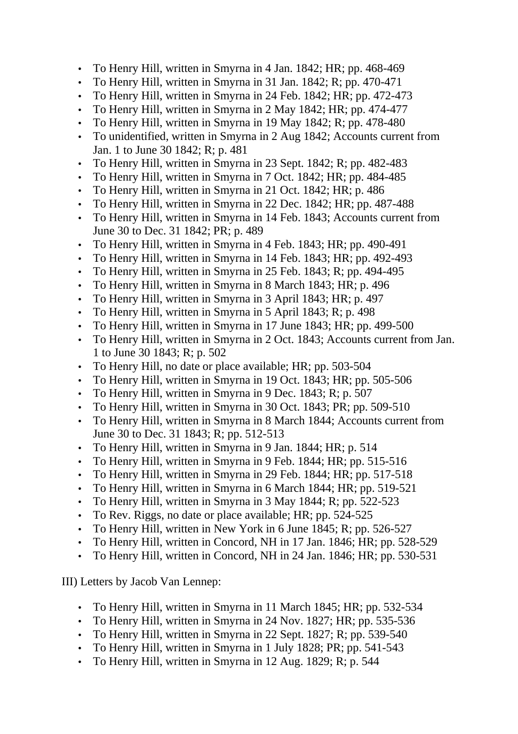- To Henry Hill, written in Smyrna in 4 Jan. 1842; HR; pp. 468-469
- To Henry Hill, written in Smyrna in 31 Jan. 1842; R; pp. 470-471
- To Henry Hill, written in Smyrna in 24 Feb. 1842; HR; pp. 472-473
- To Henry Hill, written in Smyrna in 2 May 1842; HR; pp. 474-477
- To Henry Hill, written in Smyrna in 19 May 1842; R; pp. 478-480
- To unidentified, written in Smyrna in 2 Aug 1842; Accounts current from Jan. 1 to June 30 1842; R; p. 481
- To Henry Hill, written in Smyrna in 23 Sept. 1842; R; pp. 482-483
- To Henry Hill, written in Smyrna in 7 Oct. 1842; HR; pp. 484-485
- To Henry Hill, written in Smyrna in 21 Oct. 1842; HR; p. 486
- To Henry Hill, written in Smyrna in 22 Dec. 1842; HR; pp. 487-488
- To Henry Hill, written in Smyrna in 14 Feb. 1843; Accounts current from June 30 to Dec. 31 1842; PR; p. 489
- To Henry Hill, written in Smyrna in 4 Feb. 1843; HR; pp. 490-491
- To Henry Hill, written in Smyrna in 14 Feb. 1843; HR; pp. 492-493
- To Henry Hill, written in Smyrna in 25 Feb. 1843; R; pp. 494-495
- To Henry Hill, written in Smyrna in 8 March 1843; HR; p. 496
- To Henry Hill, written in Smyrna in 3 April 1843; HR; p. 497
- To Henry Hill, written in Smyrna in 5 April 1843; R; p. 498
- To Henry Hill, written in Smyrna in 17 June 1843; HR; pp. 499-500
- To Henry Hill, written in Smyrna in 2 Oct. 1843; Accounts current from Jan. 1 to June 30 1843; R; p. 502
- To Henry Hill, no date or place available; HR; pp. 503-504
- To Henry Hill, written in Smyrna in 19 Oct. 1843; HR; pp. 505-506
- To Henry Hill, written in Smyrna in 9 Dec. 1843; R; p. 507
- To Henry Hill, written in Smyrna in 30 Oct. 1843; PR; pp. 509-510
- To Henry Hill, written in Smyrna in 8 March 1844; Accounts current from June 30 to Dec. 31 1843; R; pp. 512-513
- To Henry Hill, written in Smyrna in 9 Jan. 1844; HR; p. 514
- To Henry Hill, written in Smyrna in 9 Feb. 1844; HR; pp. 515-516
- To Henry Hill, written in Smyrna in 29 Feb. 1844; HR; pp. 517-518
- To Henry Hill, written in Smyrna in 6 March 1844; HR; pp. 519-521
- To Henry Hill, written in Smyrna in 3 May 1844; R; pp. 522-523
- To Rev. Riggs, no date or place available; HR; pp. 524-525
- To Henry Hill, written in New York in 6 June 1845; R; pp. 526-527
- To Henry Hill, written in Concord, NH in 17 Jan. 1846; HR; pp. 528-529
- To Henry Hill, written in Concord, NH in 24 Jan. 1846; HR; pp. 530-531

III) Letters by Jacob Van Lennep:

- To Henry Hill, written in Smyrna in 11 March 1845; HR; pp. 532-534
- To Henry Hill, written in Smyrna in 24 Nov. 1827; HR; pp. 535-536
- To Henry Hill, written in Smyrna in 22 Sept. 1827; R; pp. 539-540
- To Henry Hill, written in Smyrna in 1 July 1828; PR; pp. 541-543
- To Henry Hill, written in Smyrna in 12 Aug. 1829; R; p. 544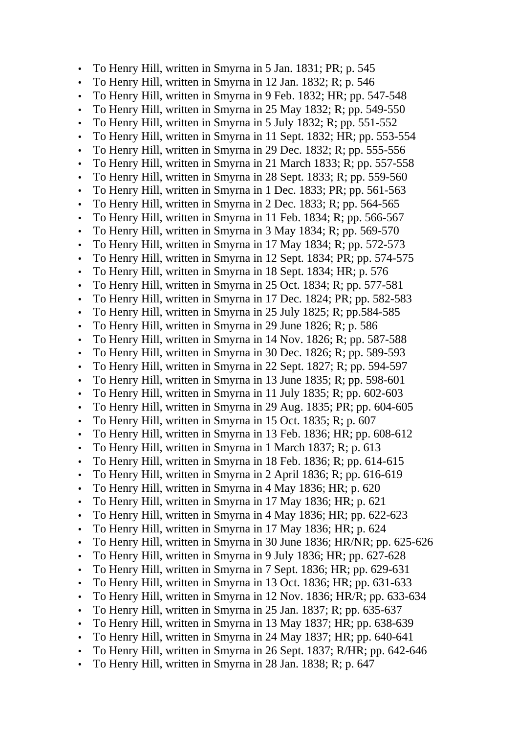- To Henry Hill, written in Smyrna in 5 Jan. 1831; PR; p. 545
- To Henry Hill, written in Smyrna in 12 Jan. 1832; R; p. 546
- To Henry Hill, written in Smyrna in 9 Feb. 1832; HR; pp. 547-548
- To Henry Hill, written in Smyrna in 25 May 1832; R; pp. 549-550
- To Henry Hill, written in Smyrna in 5 July 1832; R; pp. 551-552
- To Henry Hill, written in Smyrna in 11 Sept. 1832; HR; pp. 553-554
- To Henry Hill, written in Smyrna in 29 Dec. 1832; R; pp. 555-556
- To Henry Hill, written in Smyrna in 21 March 1833; R; pp. 557-558
- To Henry Hill, written in Smyrna in 28 Sept. 1833; R; pp. 559-560
- To Henry Hill, written in Smyrna in 1 Dec. 1833; PR; pp. 561-563
- To Henry Hill, written in Smyrna in 2 Dec. 1833; R; pp. 564-565
- To Henry Hill, written in Smyrna in 11 Feb. 1834; R; pp. 566-567
- To Henry Hill, written in Smyrna in 3 May 1834; R; pp. 569-570
- To Henry Hill, written in Smyrna in 17 May 1834; R; pp. 572-573
- To Henry Hill, written in Smyrna in 12 Sept. 1834; PR; pp. 574-575
- To Henry Hill, written in Smyrna in 18 Sept. 1834; HR; p. 576
- To Henry Hill, written in Smyrna in 25 Oct. 1834; R; pp. 577-581
- To Henry Hill, written in Smyrna in 17 Dec. 1824; PR; pp. 582-583
- To Henry Hill, written in Smyrna in 25 July 1825; R; pp.584-585
- To Henry Hill, written in Smyrna in 29 June 1826; R; p. 586
- To Henry Hill, written in Smyrna in 14 Nov. 1826; R; pp. 587-588
- To Henry Hill, written in Smyrna in 30 Dec. 1826; R; pp. 589-593
- To Henry Hill, written in Smyrna in 22 Sept. 1827; R; pp. 594-597
- To Henry Hill, written in Smyrna in 13 June 1835; R; pp. 598-601
- To Henry Hill, written in Smyrna in 11 July 1835; R; pp. 602-603
- To Henry Hill, written in Smyrna in 29 Aug. 1835; PR; pp. 604-605
- To Henry Hill, written in Smyrna in 15 Oct. 1835; R; p. 607
- To Henry Hill, written in Smyrna in 13 Feb. 1836; HR; pp. 608-612
- To Henry Hill, written in Smyrna in 1 March 1837; R; p. 613
- To Henry Hill, written in Smyrna in 18 Feb. 1836; R; pp. 614-615
- To Henry Hill, written in Smyrna in 2 April 1836; R; pp. 616-619
- To Henry Hill, written in Smyrna in 4 May 1836; HR; p. 620
- To Henry Hill, written in Smyrna in 17 May 1836; HR; p. 621
- To Henry Hill, written in Smyrna in 4 May 1836; HR; pp. 622-623
- To Henry Hill, written in Smyrna in 17 May 1836; HR; p. 624
- To Henry Hill, written in Smyrna in 30 June 1836; HR/NR; pp. 625-626
- To Henry Hill, written in Smyrna in 9 July 1836; HR; pp. 627-628
- To Henry Hill, written in Smyrna in 7 Sept. 1836; HR; pp. 629-631
- To Henry Hill, written in Smyrna in 13 Oct. 1836; HR; pp. 631-633
- To Henry Hill, written in Smyrna in 12 Nov. 1836; HR/R; pp. 633-634
- To Henry Hill, written in Smyrna in 25 Jan. 1837; R; pp. 635-637
- To Henry Hill, written in Smyrna in 13 May 1837; HR; pp. 638-639
- To Henry Hill, written in Smyrna in 24 May 1837; HR; pp. 640-641
- To Henry Hill, written in Smyrna in 26 Sept. 1837; R/HR; pp. 642-646
- To Henry Hill, written in Smyrna in 28 Jan. 1838; R; p. 647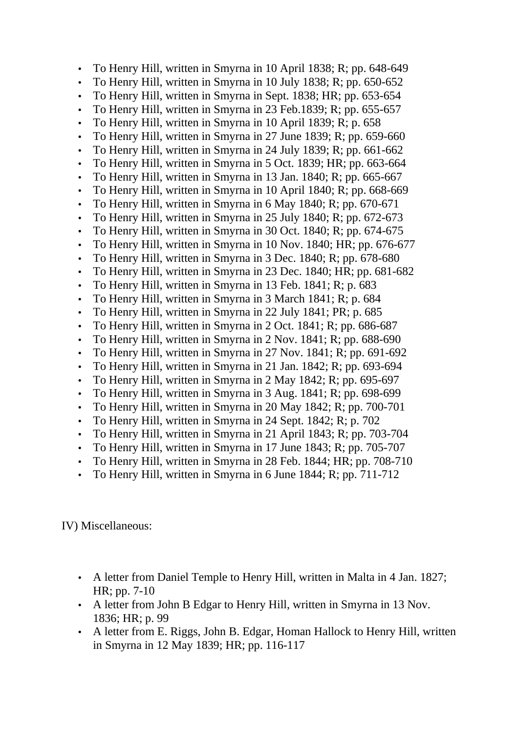- To Henry Hill, written in Smyrna in 10 April 1838; R; pp. 648-649
- To Henry Hill, written in Smyrna in 10 July 1838; R; pp. 650-652
- To Henry Hill, written in Smyrna in Sept. 1838; HR; pp. 653-654
- To Henry Hill, written in Smyrna in 23 Feb.1839; R; pp. 655-657
- To Henry Hill, written in Smyrna in 10 April 1839; R; p. 658
- To Henry Hill, written in Smyrna in 27 June 1839; R; pp. 659-660
- To Henry Hill, written in Smyrna in 24 July 1839; R; pp. 661-662
- To Henry Hill, written in Smyrna in 5 Oct. 1839; HR; pp. 663-664
- To Henry Hill, written in Smyrna in 13 Jan. 1840; R; pp. 665-667
- To Henry Hill, written in Smyrna in 10 April 1840; R; pp. 668-669
- To Henry Hill, written in Smyrna in 6 May 1840; R; pp. 670-671
- To Henry Hill, written in Smyrna in 25 July 1840; R; pp. 672-673
- To Henry Hill, written in Smyrna in 30 Oct. 1840; R; pp. 674-675
- To Henry Hill, written in Smyrna in 10 Nov. 1840; HR; pp. 676-677
- To Henry Hill, written in Smyrna in 3 Dec. 1840; R; pp. 678-680
- To Henry Hill, written in Smyrna in 23 Dec. 1840; HR; pp. 681-682
- To Henry Hill, written in Smyrna in 13 Feb. 1841; R; p. 683
- To Henry Hill, written in Smyrna in 3 March 1841; R; p. 684
- To Henry Hill, written in Smyrna in 22 July 1841; PR; p. 685
- To Henry Hill, written in Smyrna in 2 Oct. 1841; R; pp. 686-687
- To Henry Hill, written in Smyrna in 2 Nov. 1841; R; pp. 688-690
- To Henry Hill, written in Smyrna in 27 Nov. 1841; R; pp. 691-692
- To Henry Hill, written in Smyrna in 21 Jan. 1842; R; pp. 693-694
- To Henry Hill, written in Smyrna in 2 May 1842; R; pp. 695-697
- To Henry Hill, written in Smyrna in 3 Aug. 1841; R; pp. 698-699
- To Henry Hill, written in Smyrna in 20 May 1842; R; pp. 700-701
- To Henry Hill, written in Smyrna in 24 Sept. 1842; R; p. 702
- To Henry Hill, written in Smyrna in 21 April 1843; R; pp. 703-704
- To Henry Hill, written in Smyrna in 17 June 1843; R; pp. 705-707
- To Henry Hill, written in Smyrna in 28 Feb. 1844; HR; pp. 708-710
- To Henry Hill, written in Smyrna in 6 June 1844; R; pp. 711-712

IV) Miscellaneous:

- A letter from Daniel Temple to Henry Hill, written in Malta in 4 Jan. 1827; HR; pp. 7-10
- A letter from John B Edgar to Henry Hill, written in Smyrna in 13 Nov. 1836; HR; p. 99
- A letter from E. Riggs, John B. Edgar, Homan Hallock to Henry Hill, written in Smyrna in 12 May 1839; HR; pp. 116-117